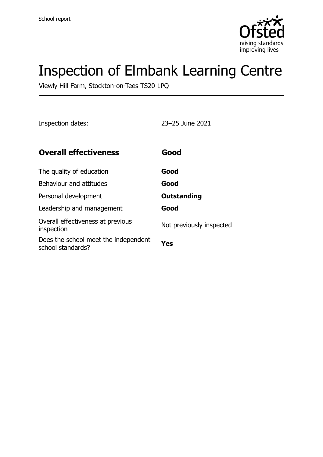

# Inspection of Elmbank Learning Centre

Viewly Hill Farm, Stockton-on-Tees TS20 1PQ

Inspection dates: 23–25 June 2021

| <b>Overall effectiveness</b>                              | Good                     |
|-----------------------------------------------------------|--------------------------|
| The quality of education                                  | Good                     |
| Behaviour and attitudes                                   | Good                     |
| Personal development                                      | <b>Outstanding</b>       |
| Leadership and management                                 | Good                     |
| Overall effectiveness at previous<br>inspection           | Not previously inspected |
| Does the school meet the independent<br>school standards? | Yes                      |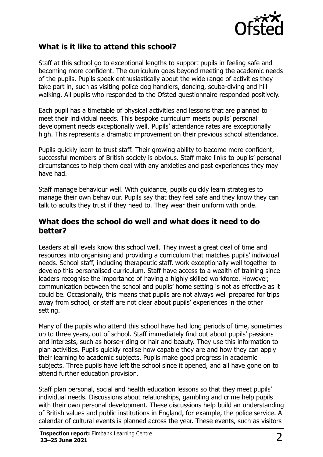

#### **What is it like to attend this school?**

Staff at this school go to exceptional lengths to support pupils in feeling safe and becoming more confident. The curriculum goes beyond meeting the academic needs of the pupils. Pupils speak enthusiastically about the wide range of activities they take part in, such as visiting police dog handlers, dancing, scuba-diving and hill walking. All pupils who responded to the Ofsted questionnaire responded positively.

Each pupil has a timetable of physical activities and lessons that are planned to meet their individual needs. This bespoke curriculum meets pupils' personal development needs exceptionally well. Pupils' attendance rates are exceptionally high. This represents a dramatic improvement on their previous school attendance.

Pupils quickly learn to trust staff. Their growing ability to become more confident, successful members of British society is obvious. Staff make links to pupils' personal circumstances to help them deal with any anxieties and past experiences they may have had.

Staff manage behaviour well. With guidance, pupils quickly learn strategies to manage their own behaviour. Pupils say that they feel safe and they know they can talk to adults they trust if they need to. They wear their uniform with pride.

#### **What does the school do well and what does it need to do better?**

Leaders at all levels know this school well. They invest a great deal of time and resources into organising and providing a curriculum that matches pupils' individual needs. School staff, including therapeutic staff, work exceptionally well together to develop this personalised curriculum. Staff have access to a wealth of training since leaders recognise the importance of having a highly skilled workforce. However, communication between the school and pupils' home setting is not as effective as it could be. Occasionally, this means that pupils are not always well prepared for trips away from school, or staff are not clear about pupils' experiences in the other setting.

Many of the pupils who attend this school have had long periods of time, sometimes up to three years, out of school. Staff immediately find out about pupils' passions and interests, such as horse-riding or hair and beauty. They use this information to plan activities. Pupils quickly realise how capable they are and how they can apply their learning to academic subjects. Pupils make good progress in academic subjects. Three pupils have left the school since it opened, and all have gone on to attend further education provision.

Staff plan personal, social and health education lessons so that they meet pupils' individual needs. Discussions about relationships, gambling and crime help pupils with their own personal development. These discussions help build an understanding of British values and public institutions in England, for example, the police service. A calendar of cultural events is planned across the year. These events, such as visitors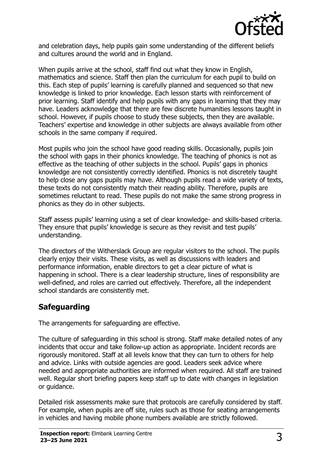

and celebration days, help pupils gain some understanding of the different beliefs and cultures around the world and in England.

When pupils arrive at the school, staff find out what they know in English, mathematics and science. Staff then plan the curriculum for each pupil to build on this. Each step of pupils' learning is carefully planned and sequenced so that new knowledge is linked to prior knowledge. Each lesson starts with reinforcement of prior learning. Staff identify and help pupils with any gaps in learning that they may have. Leaders acknowledge that there are few discrete humanities lessons taught in school. However, if pupils choose to study these subjects, then they are available. Teachers' expertise and knowledge in other subjects are always available from other schools in the same company if required.

Most pupils who join the school have good reading skills. Occasionally, pupils join the school with gaps in their phonics knowledge. The teaching of phonics is not as effective as the teaching of other subjects in the school. Pupils' gaps in phonics knowledge are not consistently correctly identified. Phonics is not discretely taught to help close any gaps pupils may have. Although pupils read a wide variety of texts, these texts do not consistently match their reading ability. Therefore, pupils are sometimes reluctant to read. These pupils do not make the same strong progress in phonics as they do in other subjects.

Staff assess pupils' learning using a set of clear knowledge- and skills-based criteria. They ensure that pupils' knowledge is secure as they revisit and test pupils' understanding.

The directors of the Witherslack Group are regular visitors to the school. The pupils clearly enjoy their visits. These visits, as well as discussions with leaders and performance information, enable directors to get a clear picture of what is happening in school. There is a clear leadership structure, lines of responsibility are well-defined, and roles are carried out effectively. Therefore, all the independent school standards are consistently met.

#### **Safeguarding**

The arrangements for safeguarding are effective.

The culture of safeguarding in this school is strong. Staff make detailed notes of any incidents that occur and take follow-up action as appropriate. Incident records are rigorously monitored. Staff at all levels know that they can turn to others for help and advice. Links with outside agencies are good. Leaders seek advice where needed and appropriate authorities are informed when required. All staff are trained well. Regular short briefing papers keep staff up to date with changes in legislation or guidance.

Detailed risk assessments make sure that protocols are carefully considered by staff. For example, when pupils are off site, rules such as those for seating arrangements in vehicles and having mobile phone numbers available are strictly followed.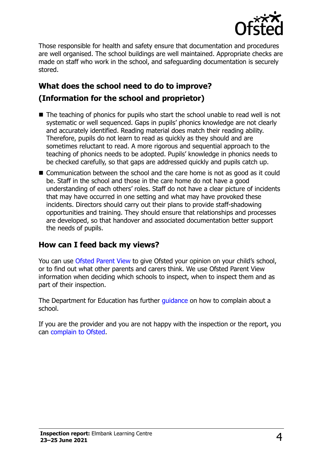

Those responsible for health and safety ensure that documentation and procedures are well organised. The school buildings are well maintained. Appropriate checks are made on staff who work in the school, and safeguarding documentation is securely stored.

## **What does the school need to do to improve? (Information for the school and proprietor)**

- The teaching of phonics for pupils who start the school unable to read well is not systematic or well sequenced. Gaps in pupils' phonics knowledge are not clearly and accurately identified. Reading material does match their reading ability. Therefore, pupils do not learn to read as quickly as they should and are sometimes reluctant to read. A more rigorous and sequential approach to the teaching of phonics needs to be adopted. Pupils' knowledge in phonics needs to be checked carefully, so that gaps are addressed quickly and pupils catch up.
- Communication between the school and the care home is not as good as it could be. Staff in the school and those in the care home do not have a good understanding of each others' roles. Staff do not have a clear picture of incidents that may have occurred in one setting and what may have provoked these incidents. Directors should carry out their plans to provide staff-shadowing opportunities and training. They should ensure that relationships and processes are developed, so that handover and associated documentation better support the needs of pupils.

#### **How can I feed back my views?**

You can use [Ofsted Parent View](http://parentview.ofsted.gov.uk/) to give Ofsted your opinion on your child's school, or to find out what other parents and carers think. We use Ofsted Parent View information when deciding which schools to inspect, when to inspect them and as part of their inspection.

The Department for Education has further [guidance](http://www.gov.uk/complain-about-school) on how to complain about a school.

If you are the provider and you are not happy with the inspection or the report, you can [complain to Ofsted.](http://www.gov.uk/complain-ofsted-report)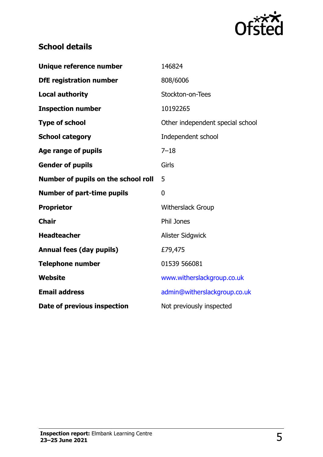

### **School details**

| Unique reference number             | 146824                           |
|-------------------------------------|----------------------------------|
| <b>DfE registration number</b>      | 808/6006                         |
| <b>Local authority</b>              | Stockton-on-Tees                 |
| <b>Inspection number</b>            | 10192265                         |
| <b>Type of school</b>               | Other independent special school |
| <b>School category</b>              | Independent school               |
| Age range of pupils                 | $7 - 18$                         |
| <b>Gender of pupils</b>             | Girls                            |
| Number of pupils on the school roll | 5                                |
|                                     |                                  |
| <b>Number of part-time pupils</b>   | 0                                |
| <b>Proprietor</b>                   | <b>Witherslack Group</b>         |
| <b>Chair</b>                        | Phil Jones                       |
| <b>Headteacher</b>                  | Alister Sidgwick                 |
| <b>Annual fees (day pupils)</b>     | £79,475                          |
| <b>Telephone number</b>             | 01539 566081                     |
| <b>Website</b>                      | www.witherslackgroup.co.uk       |
| <b>Email address</b>                | admin@witherslackgroup.co.uk     |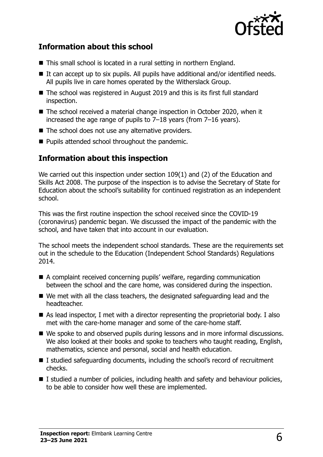

#### **Information about this school**

- This small school is located in a rural setting in northern England.
- $\blacksquare$  It can accept up to six pupils. All pupils have additional and/or identified needs. All pupils live in care homes operated by the Witherslack Group.
- The school was registered in August 2019 and this is its first full standard inspection.
- The school received a material change inspection in October 2020, when it increased the age range of pupils to 7–18 years (from 7–16 years).
- $\blacksquare$  The school does not use any alternative providers.
- $\blacksquare$  Pupils attended school throughout the pandemic.

#### **Information about this inspection**

We carried out this inspection under section 109(1) and (2) of the Education and Skills Act 2008. The purpose of the inspection is to advise the Secretary of State for Education about the school's suitability for continued registration as an independent school.

This was the first routine inspection the school received since the COVID-19 (coronavirus) pandemic began. We discussed the impact of the pandemic with the school, and have taken that into account in our evaluation.

The school meets the independent school standards. These are the requirements set out in the schedule to the Education (Independent School Standards) Regulations 2014.

- A complaint received concerning pupils' welfare, regarding communication between the school and the care home, was considered during the inspection.
- We met with all the class teachers, the designated safeguarding lead and the headteacher.
- As lead inspector, I met with a director representing the proprietorial body. I also met with the care-home manager and some of the care-home staff.
- We spoke to and observed pupils during lessons and in more informal discussions. We also looked at their books and spoke to teachers who taught reading, English, mathematics, science and personal, social and health education.
- I studied safeguarding documents, including the school's record of recruitment checks.
- I studied a number of policies, including health and safety and behaviour policies, to be able to consider how well these are implemented.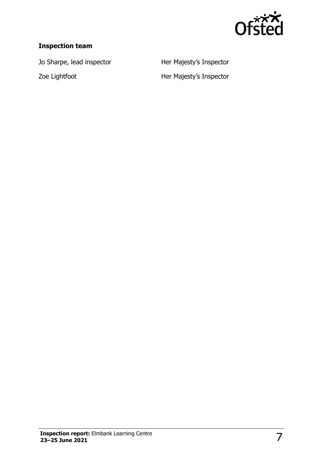

#### **Inspection team**

Jo Sharpe, lead inspector **Her Majesty's Inspector** 

Zoe Lightfoot **Her Majesty's Inspector**